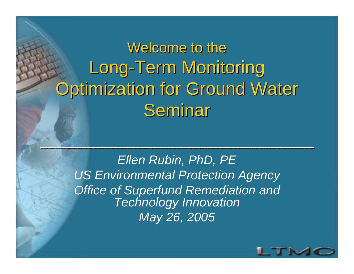Welcome to the Long-Term Monitoring Optimization for Ground Water Seminar

*Ellen Rubin, PhD, PE US Environmental Protection Agency Office of Superfund Remediation and Technology Innovation May 26, 2005*

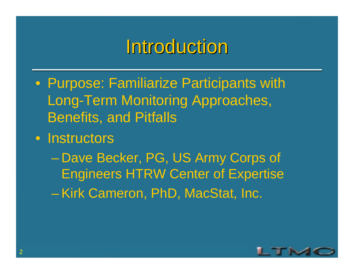#### Introduction

- Purpose: Familiarize Participants with Long-Term Monitoring Approaches, Benefits, and Pitfalls
- Instructors
	- $\mathcal{L}_{\mathcal{A}}$  , and the set of the set of the set of the set of the set of the set of the set of the set of the set of the set of the set of the set of the set of the set of the set of the set of the set of the set of th Dave Becker, PG, US Army Corps of Engineers HTRW Center of Expertise Kirk Cameron, PhD, MacStat, Inc.

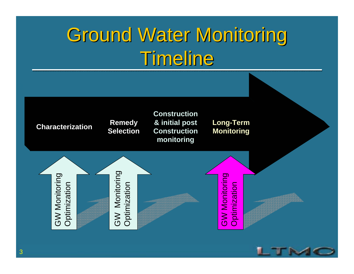# **Ground Water Monitoring** Timeline

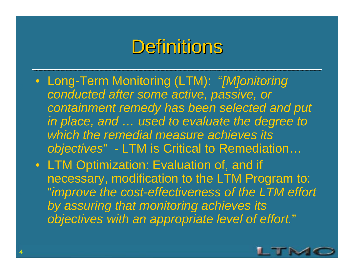#### Definitions

- Long-Term Monitoring (LTM): "*[M]onitoring conducted after some active, passive, or containment remedy has been selected and put in place, and … used to evaluate the degree to which the remedial measure achieves its objectives*" - LTM is Critical to Remediation…
- LTM Optimization: Evaluation of, and if necessary, modification to the LTM Program to: "*improve the cost-effectiveness of the LTM effort by assuring that monitoring achieves its objectives with an appropriate level of effort.*"

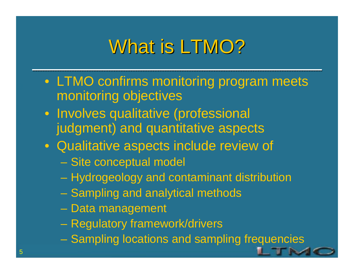## What is LTMO?

- LTMO confirms monitoring program meets monitoring objectives
- Involves qualitative (professional judgment) and quantitative aspects
- Qualitative aspects include review of
	- Site conceptual model
	- Hydrogeology and contaminant distribution
	- Sampling and analytical methods
	- Data management
	- Regulatory framework/drivers
	- Sampling locations and sampling frequencies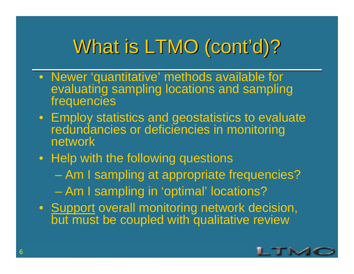## What is LTMO (cont'd)? What is LTMO (cont'd)?

- Newer 'quantitative' methods available for evaluating sampling locations and sampling **frequencies**
- Employ statistics and geostatistics to evaluate redundancies or deficiencies in monitoring network
- Help with the following questions
	- Am I sampling at appropriate frequencies?
	- Am I sampling in 'optimal' locations?
- Support overall monitoring network decision, but must be coupled with qualitative review

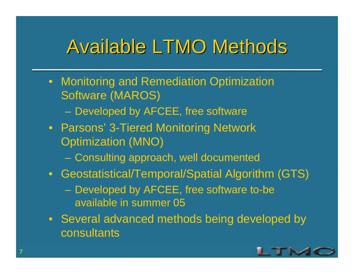## Available LTMO Methods

- Monitoring and Remediation Optimization Software (MAROS)
	- Developed by AFCEE, free software
- Parsons' 3-Tiered Monitoring Network Optimization (MNO)
	- Consulting approach, well documented
- Geostatistical/Temporal/Spatial Algorithm (GTS)
	- Developed by AFCEE, free software to-be available in summer 05
- Several advanced methods being developed by consultants

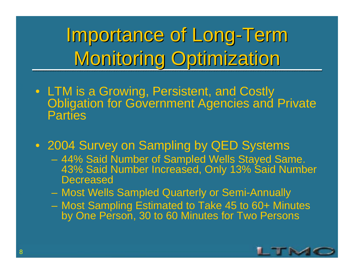Importance of Long-Term Monitoring Optimization

- LTM is a Growing, Persistent, and Costly Obligation for Government Agencies and Private **Parties**
- 2004 Survey on Sampling by QED Systems
	- 44% Said Number of Sampled Wells Stayed Same. 43% Said Number Increased, Only 13% Said Number **Decreased**
	- Most Wells Sampled Quarterly or Semi-Annually
	- Most Sampling Estimated to Take 45 to 60+ Minutes by One Person, 30 to 60 Minutes for Two Persons

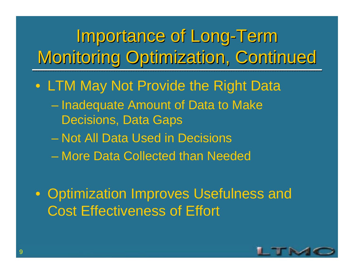Importance of Long-Term Monitoring Optimization, Continued

• LTM May Not Provide the Right Data

- Inadequate Amount of Data to Make Decisions, Data Gaps
- Not All Data Used in Decisions
- More Data Collected than Needed

• Optimization Improves Usefulness and Cost Effectiveness of Effort

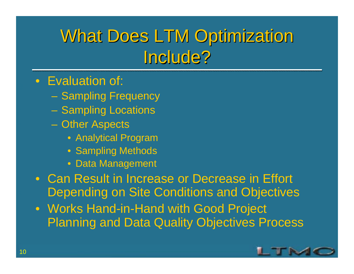## What Does LTM Optimization Include?

- Evaluation of:
	- Sampling Frequency
	- Sampling Locations
	- **Other Aspects** 
		- Analytical Program
		- Sampling Methods
		- Data Management
- Can Result in Increase or Decrease in Effort Depending on Site Conditions and Objectives
- Works Hand-in-Hand with Good Project Planning and Data Quality Objectives Process

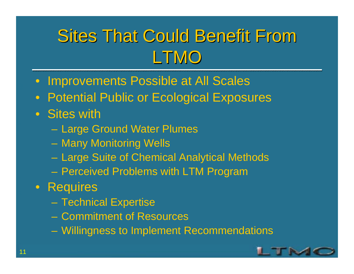## Sites That Could Benefit From LTMO

- •Improvements Possible at All Scales
- $\bullet$ Potential Public or Ecological Exposures
- Sites with
	- Large Ground Water Plumes
	- Many Monitoring Wells
	- Large Suite of Chemical Analytical Methods
	- Perceived Problems with LTM Program
- Requires
	- Technical Expertise
	- Commitment of Resources
	- Willingness to Implement Recommendations

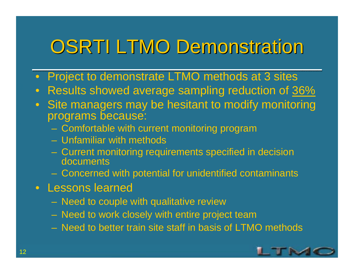## OSRTI LTMO Demonstration

- $\bullet$ Project to demonstrate LTMO methods at 3 sites
- $\bullet$ Results showed average sampling reduction of 36%
- Site managers may be hesitant to modify monitoring programs because:
	- –Comfortable with current monitoring program
	- Unfamiliar with methods
	- Current monitoring requirements specified in decision documents
	- Concerned with potential for unidentified contaminants
- Lessons learned
	- Need to couple with qualitative review
	- Need to work closely with entire project team
	- Need to better train site staff in basis of LTMO methods

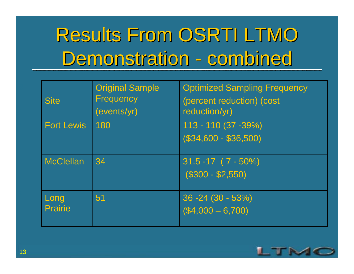# Results From OSRTI LTMO Demonstration - combined

| <b>Site</b>            | <b>Original Sample</b><br><b>Frequency</b><br>(events/yr) | <b>Optimized Sampling Frequency</b><br>(percent reduction) (cost<br>reduction/yr) |
|------------------------|-----------------------------------------------------------|-----------------------------------------------------------------------------------|
| <b>Fort Lewis</b>      | 180                                                       | 113 - 110 (37 - 39%)<br>$($34,600 - $36,500)$                                     |
| <b>McClellan</b>       | 34                                                        | $31.5 - 17$ (7 - 50%)<br>$($300 - $2,550)$                                        |
| Long<br><b>Prairie</b> | 51                                                        | $36 - 24 (30 - 53%)$<br>$($ \$4,000 - 6,700)                                      |

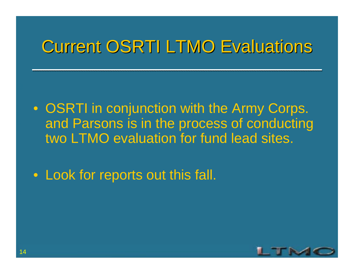#### Current OSRTI LTMO Evaluations

• OSRTI in conjunction with the Army Corps. and Parsons is in the process of conducting two LTMO evaluation for fund lead sites.

• Look for reports out this fall.

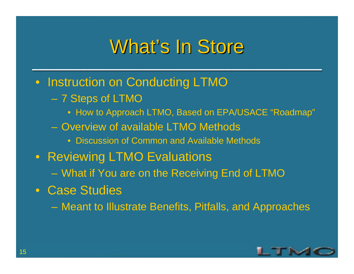#### What's In Store

- Instruction on Conducting LTMO
	- 7 Steps of LTMO
		- How to Approach LTMO, Based on EPA/USACE "Roadmap"
	- Overview of available LTMO Methods
		- Discussion of Common and Available Methods
- Reviewing LTMO Evaluations
	- What if You are on the Receiving End of LTMO
- Case Studies
	- Meant to Illustrate Benefits, Pitfalls, and Approaches